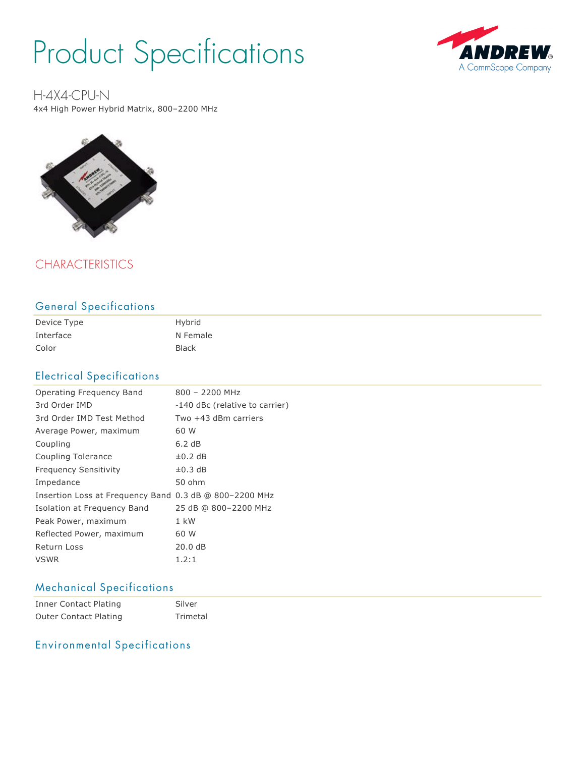# Product Specifications



H-4X4-CPU-N

4x4 High Power Hybrid Matrix, 800–2200 MHz



# **CHARACTERISTICS**

### General Specifications

| Device Type | Hybrid       |
|-------------|--------------|
| Interface   | N Female     |
| Color       | <b>Black</b> |

## Electrical Specifications

| Operating Freguency Band                               | $800 - 2200$ MHz               |  |
|--------------------------------------------------------|--------------------------------|--|
| 3rd Order IMD                                          | -140 dBc (relative to carrier) |  |
| 3rd Order IMD Test Method                              | Two $+43$ dBm carriers         |  |
| Average Power, maximum                                 | 60 W                           |  |
| Coupling                                               | 6.2 dB                         |  |
| Coupling Tolerance                                     | $\pm 0.2$ dB                   |  |
| <b>Frequency Sensitivity</b>                           | $\pm 0.3$ dB                   |  |
| Impedance                                              | 50 ohm                         |  |
| Insertion Loss at Frequency Band 0.3 dB @ 800-2200 MHz |                                |  |
| Isolation at Frequency Band                            | 25 dB @ 800-2200 MHz           |  |
| Peak Power, maximum                                    | $1$ kW                         |  |
| Reflected Power, maximum                               | 60 W                           |  |
| Return Loss                                            | 20.0dB                         |  |
| <b>VSWR</b>                                            | 1.2:1                          |  |

# Mechanical Specifications

| Inner Contact Plating        | Silver   |
|------------------------------|----------|
| <b>Outer Contact Plating</b> | Trimetal |

# Environmental Specifications